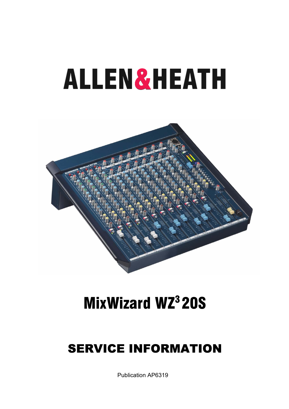# **ALLEN&HEATH**



# **MixWizard WZ320S**

## **SERVICE INFORMATION**

**Publication AP6319**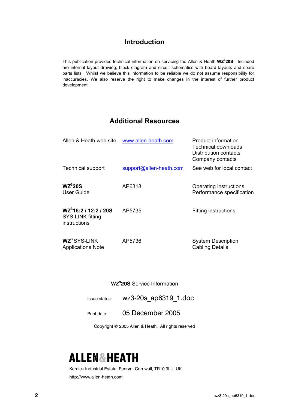#### **Introduction**

This publication provides technical information on servicing the Allen & Heath **WZ<sup>3</sup> 20S**. Included are internal layout drawing, block diagram and circuit schematics with board layouts and spare parts lists. Whilst we believe this information to be reliable we do not assume responsibility for inaccuracies. We also reserve the right to make changes in the interest of further product development.

#### **Additional Resources**

| Allen & Heath web site                                                | www.allen-heath.com     | <b>Product information</b><br><b>Technical downloads</b><br>Distribution contacts<br>Company contacts |
|-----------------------------------------------------------------------|-------------------------|-------------------------------------------------------------------------------------------------------|
| <b>Technical support</b>                                              | support@allen-heath.com | See web for local contact                                                                             |
| WZ <sup>3</sup> 20S<br>User Guide                                     | AP6318                  | Operating instructions<br>Performance specification                                                   |
| WZ <sup>3</sup> 16:2 / 12:2 / 20S<br>SYS-LINK fitting<br>instructions | AP5735                  | <b>Fitting instructions</b>                                                                           |
| WZ <sup>3</sup> SYS-LINK<br><b>Applications Note</b>                  | AP5736                  | <b>System Description</b><br><b>Cabling Details</b>                                                   |

**WZ3 20S** Service Information

Issue status: wz3-20s ap6319 1.doc

Print date: 05 December 2005

Copyright © 2005 Allen & Heath. All rights reserved

### **ALLEN&HEATH**

Kernick Industrial Estate, Penryn, Cornwall, TR10 9LU, UK http://www.allen-heath.com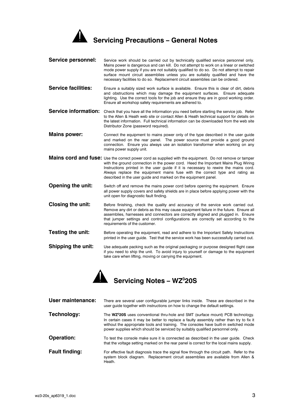

| <b>Service personnel:</b>   | Service work should be carried out by technically qualified service personnel only.<br>Mains power is dangerous and can kill. Do not attempt to work on a linear or switched<br>mode power supply if you are not suitably qualified to do so. Do not attempt to repair<br>surface mount circuit assemblies unless you are suitably qualified and have the<br>necessary facilities to do so. Replacement circuit assemblies can be ordered. |
|-----------------------------|--------------------------------------------------------------------------------------------------------------------------------------------------------------------------------------------------------------------------------------------------------------------------------------------------------------------------------------------------------------------------------------------------------------------------------------------|
| <b>Service facilities:</b>  | Ensure a suitably sized work surface is available. Ensure this is clear of dirt, debris<br>and obstructions which may damage the equipment surfaces. Ensure adequate<br>lighting. Use the correct tools for the job and ensure they are in good working order.<br>Ensure all workshop safety requirements are adhered to.                                                                                                                  |
| <b>Service information:</b> | Check that you have all the information you need before starting the service job. Refer<br>to the Allen & Heath web site or contact Allen & Heath technical support for details on<br>the latest information. Full technical information can be downloaded from the web site<br>Distributor Zone (password required).                                                                                                                      |
| <b>Mains power:</b>         | Connect the equipment to mains power only of the type described in the user guide<br>and marked on the rear panel. The power source must provide a good ground<br>connection. Ensure you always use an isolation transformer when working on any<br>mains power supply unit.                                                                                                                                                               |
|                             | Mains cord and fuse: Use the correct power cord as supplied with the equipment. Do not remove or tamper<br>with the ground connection in the power cord. Heed the Important Mains Plug Wiring<br>Instructions printed in the user guide if it is necessary to rewire the mains cord.<br>Always replace the equipment mains fuse with the correct type and rating as<br>described in the user guide and marked on the equipment panel.      |
| <b>Opening the unit:</b>    | Switch off and remove the mains power cord before opening the equipment. Ensure                                                                                                                                                                                                                                                                                                                                                            |

- all power supply covers and safety shields are in place before applying power with the unit open for diagnostic fault finding.
- **Closing the unit:** Before finishing, check the quality and accuracy of the service work carried out. Remove any dirt or debris as this may cause equipment failure in the future. Ensure all assemblies, harnesses and connectors are correctly aligned and plugged in. Ensure that jumper settings and control configurations are correctly set according to the requirements of the customer.
- **Testing the unit:** Before operating the equipment, read and adhere to the Important Safety Instructions printed in the user guide. Test that the service work has been successfully carried out.
- **Shipping the unit:** Use adequate packing such as the original packaging or purpose designed flight case if you need to ship the unit. To avoid injury to yourself or damage to the equipment take care when lifting, moving or carrying the equipment.



| User maintenance:     | There are several user configurable jumper links inside. These are described in the<br>user quide together with instructions on how to change the default settings.                                                                                                                                                                                              |  |  |  |
|-----------------------|------------------------------------------------------------------------------------------------------------------------------------------------------------------------------------------------------------------------------------------------------------------------------------------------------------------------------------------------------------------|--|--|--|
| Technology:           | The WZ <sup>3</sup> 20S uses conventional thru-hole and SMT (surface mount) PCB technology.<br>In certain cases it may be better to replace a faulty assembly rather than try to fix it<br>without the appropriate tools and training. The consoles have built-in switched mode<br>power supplies which should be serviced by suitably qualified personnel only. |  |  |  |
| <b>Operation:</b>     | To test the console make sure it is connected as described in the user guide. Check<br>that the voltage setting marked on the rear panel is correct for the local mains supply.                                                                                                                                                                                  |  |  |  |
| <b>Fault finding:</b> | For effective fault diagnosis trace the signal flow through the circuit path. Refer to the<br>system block diagram. Replacement circuit assemblies are available from Allen &<br>Heath.                                                                                                                                                                          |  |  |  |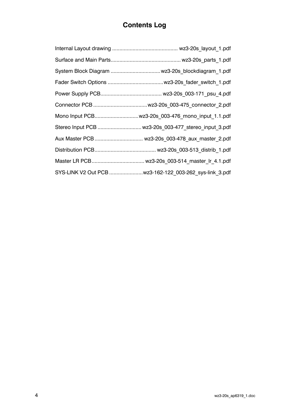#### **Contents Log**

| Mono Input PCB wz3-20s 003-476 mono input 1.1.pdf      |
|--------------------------------------------------------|
| Stereo Input PCB  wz3-20s 003-477 stereo input 3.pdf   |
| Aux Master PCB  wz3-20s 003-478 aux master 2.pdf       |
|                                                        |
|                                                        |
| SYS-LINK V2 Out PCB wz3-162-122 003-262 sys-link 3.pdf |